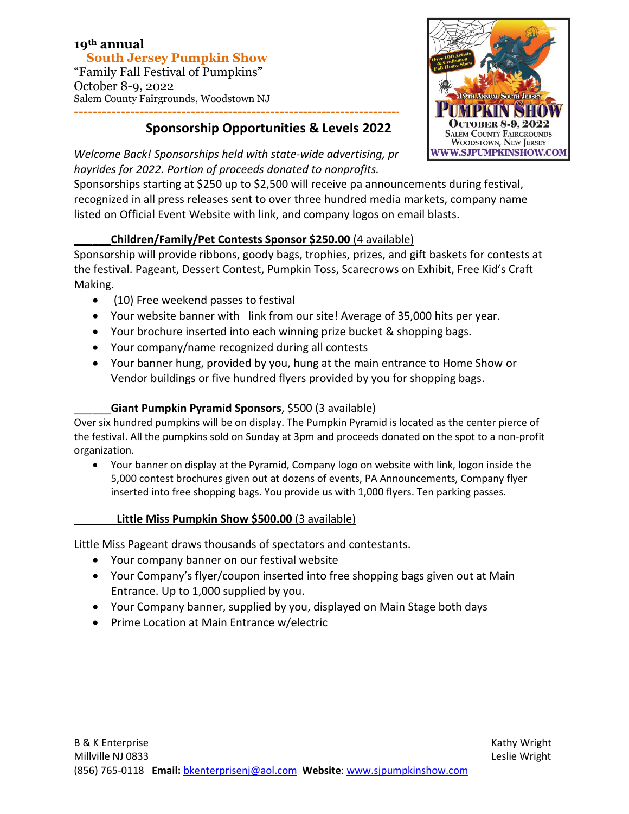#### **19th annual South Jersey Pumpkin Show**  "Family Fall Festival of Pumpkins" October 8-9, 2022 Salem County Fairgrounds, Woodstown NJ

# **Sponsorship Opportunities & Levels 2022**



*Welcome Back! Sponsorships held with state-wide advertising, pr* **WWW.SJPUMPKINSHOW.COM** *hayrides for 2022. Portion of proceeds donated to nonprofits.*

Sponsorships starting at \$250 up to \$2,500 will receive pa announcements during festival, recognized in all press releases sent to over three hundred media markets, company name listed on Official Event Website with link, and company logos on email blasts.

#### **\_\_\_\_\_\_Children/Family/Pet Contests Sponsor \$250.00** (4 available)

Sponsorship will provide ribbons, goody bags, trophies, prizes, and gift baskets for contests at the festival. Pageant, Dessert Contest, Pumpkin Toss, Scarecrows on Exhibit, Free Kid's Craft Making.

- (10) Free weekend passes to festival
- Your website banner with link from our site! Average of 35,000 hits per year.
- Your brochure inserted into each winning prize bucket & shopping bags.
- Your company/name recognized during all contests
- Your banner hung, provided by you, hung at the main entrance to Home Show or Vendor buildings or five hundred flyers provided by you for shopping bags.

### \_\_\_\_\_\_**Giant Pumpkin Pyramid Sponsors**, \$500 (3 available)

Over six hundred pumpkins will be on display. The Pumpkin Pyramid is located as the center pierce of the festival. All the pumpkins sold on Sunday at 3pm and proceeds donated on the spot to a non-profit organization.

• Your banner on display at the Pyramid, Company logo on website with link, logon inside the 5,000 contest brochures given out at dozens of events, PA Announcements, Company flyer inserted into free shopping bags. You provide us with 1,000 flyers. Ten parking passes.

#### **\_\_\_\_\_\_Little Miss Pumpkin Show \$500.00** (3 available)

Little Miss Pageant draws thousands of spectators and contestants.

- Your company banner on our festival website
- Your Company's flyer/coupon inserted into free shopping bags given out at Main Entrance. Up to 1,000 supplied by you.
- Your Company banner, supplied by you, displayed on Main Stage both days
- Prime Location at Main Entrance w/electric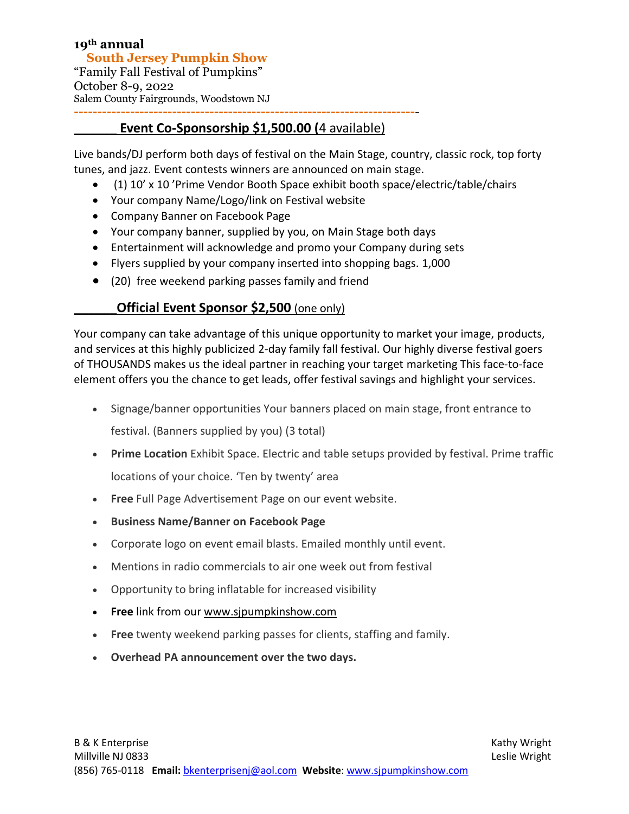## **Event Co-Sponsorship \$1,500.00 (4 available)**

Live bands/DJ perform both days of festival on the Main Stage, country, classic rock, top forty tunes, and jazz. Event contests winners are announced on main stage.

- (1) 10' x 10 'Prime Vendor Booth Space exhibit booth space/electric/table/chairs
- Your company Name/Logo/link on Festival website
- Company Banner on Facebook Page
- Your company banner, supplied by you, on Main Stage both days
- Entertainment will acknowledge and promo your Company during sets
- Flyers supplied by your company inserted into shopping bags. 1,000
- (20) free weekend parking passes family and friend

#### **Official Event Sponsor \$2,500** (one only)

Your company can take advantage of this unique opportunity to market your image, products, and services at this highly publicized 2-day family fall festival. Our highly diverse festival goers of THOUSANDS makes us the ideal partner in reaching your target marketing This face-to-face element offers you the chance to get leads, offer festival savings and highlight your services.

- Signage/banner opportunities Your banners placed on main stage, front entrance to festival. (Banners supplied by you) (3 total)
- **Prime Location** Exhibit Space. Electric and table setups provided by festival. Prime traffic locations of your choice. 'Ten by twenty' area
- **Free** Full Page Advertisement Page on our event website.
- **Business Name/Banner on Facebook Page**
- Corporate logo on event email blasts. Emailed monthly until event.
- Mentions in radio commercials to air one week out from festival
- Opportunity to bring inflatable for increased visibility
- **Free** link from our [www.sjpumpkinshow.com](http://www.sjpumpkinshow.com/)
- **Free** twenty weekend parking passes for clients, staffing and family.
- **Overhead PA announcement over the two days.**